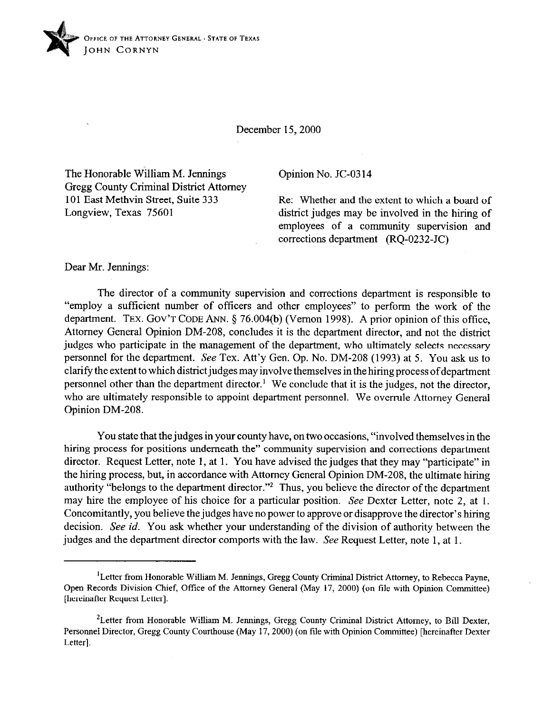

December 15,200O

The Honorable William M. Jennings Gregg County Criminal District Attorney 101 East Methvin Street, Suite 333 Longview, Texas 75601

## Opinion No. JC-03 14

Re: Whether and the extent to which a board of district judges may be involved in the hiring of employees of a community supervision and corrections department (RQ-0232-JC)

Dear Mr. Jennings:

The director of a community supervision and corrections department is responsible to "employ a sufficient number of officers and other employees" to perform the work of the department. TEX. GOV'T CODE ANN. § 76.004(b) (Vernon 1998). A prior opinion of this office, Attorney General Opinion DM-208, concludes it is the department director, and not the district judges who participate in the management of the department, who ultimately selects necessary personnel for the department. See Tex. Att'y Gen. Op. No. DM-208 (1993) at 5. You ask us to clarity the extent to which districtjudges may involve themselves in the hiring process of department personnel other than the department director.' We conclude that it is the judges, not the director, who are ultimately responsible to appoint department personnel. We overrule Attorney General Opinion DM-208.

You state that the judges in your county have, on two occasions, "involved themselves in the hiring process for positions underneath the" community supervision and corrections department director. Request Letter, note 1, at 1. You have advised the judges that they may "participate" in the hiring process, but, in accordance with Attorney General Opinion DM-208, the ultimate hiring authority "belongs to the department director."<sup>2</sup> Thus, you believe the director of the department may hire the employee of his choice for a particular position. See Dexter Letter, note 2, at 1. Concomitantly, you believe the judges have no power to approve or disapprove the director's hiring decision. See *id.* You ask whether your understanding of the division of authority between the judges and the department director comports with the law. See Request Letter, note 1, at 1.

<sup>&</sup>lt;sup>1</sup>Letter from Honorable William M. Jennings, Gregg County Criminal District Attorney, to Rebecca Payne, Open Records Division Chief, Office of the Attorney General (May 17, 2000) (on file with Opinion Committee) [hereinafter Request Letter].

<sup>&</sup>lt;sup>2</sup> Letter from Honorable William M. Jennings, Gregg County Criminal District Attorney, to Bill Dexter, Personnel Director, Gregg County Courthouse (May 17,200O) (on tile with Opinion Committee) [hereinafter Dexter Letter].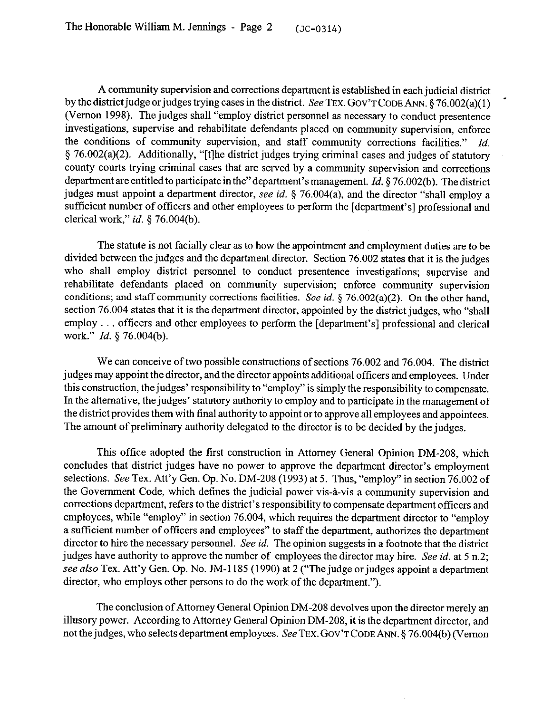A community supervision and corrections department is established in each judicial district by the district judge or judges trying cases in the district. See TEX. GOV'T CODE ANN. § 76.002(a)(1) (Vernon 1998). The judges shall "employ district personnel as necessary to conduct presentence investigations, supervise and rehabilitate defendants placed on community supervision, enforce the conditions of community supervision, and staff community corrections facilities." *Id.*  5 76,002(a)(2). Additionally, "[tlhe district judges trying criminal cases and judges of statutory county courts trying criminal cases that are served by a community supervision and corrections department are entitled to participate in the"department's management. *Id.* 5 76.002(b). The district judges must appoint a department director, see *id.* 5 76.004(a), and the director "shall employ a sufficient number of officers and other employees to perform the [department's] professional and clerical work," *id. 5* 76.004(b).

The statute is not facially clear as to how the appointment and employment duties are to be divided between the judges and the department director. Section 76.002 states that it is the judges who shall employ district personnel to conduct presentence investigations; supervise and rehabilitate defendants placed on community supervision; enforce community supervision conditions; and staff community corrections facilities. See *id.* 5 76.002(a)(2). On the other hand, section 76.004 states that it is the department director, appointed by the district judges, who "shall employ . . . officers and other employees to perform the [department's] professional and clerical work." *Id. \$ 76.004(b).* 

We can conceive of two possible constructions of sections 76.002 and 76.004. The district judges may appoint the director, and the director appoints additional officers and employees. Under this construction, the judges' responsibility to "employ" is simply the responsibility to compensate. In the alternative, the judges' statutory authority to employ and to participate in the management of the district provides them with final authority to appoint or to approve all employees and appointees. The amount of preliminary authority delegated to the director is to be decided by the judges.

This office adopted the first construction in Attorney General Opinion DM-208, which concludes that district judges have no power to approve the department director's employment selections. See Tex. Att'y Gen. Op. No. DM-208 (1993) at 5. Thus, "employ" in section 76.002 of the Government Code, which defines the judicial power vis-à-vis a community supervision and corrections department, refers to the district's responsibility to compensate department officers and employees, while "employ" in section 76.004, which requires the department director to "employ a sufficient number of officers and employees" to staff the department, authorizes the department director to hire the necessary personnel. See *id.* The opinion suggests in a footnote that the district judges have authority to approve the number of employees the director may hire. See *id.* at 5 n.2; see also Tex. Att'y Gen. Op. No. JM-1185 (1990) at 2 ("The judge or judges appoint a department director, who employs other persons to do the work of the department.").

The conclusion of Attorney General Opinion DM-208 devolves upon the director merely an illusory power. According to Attorney General Opinion DM-208, it is the department director, and not the judges, who selects department employees. See TEX. GOV'T CODE ANN. § 76.004(b) (Vernon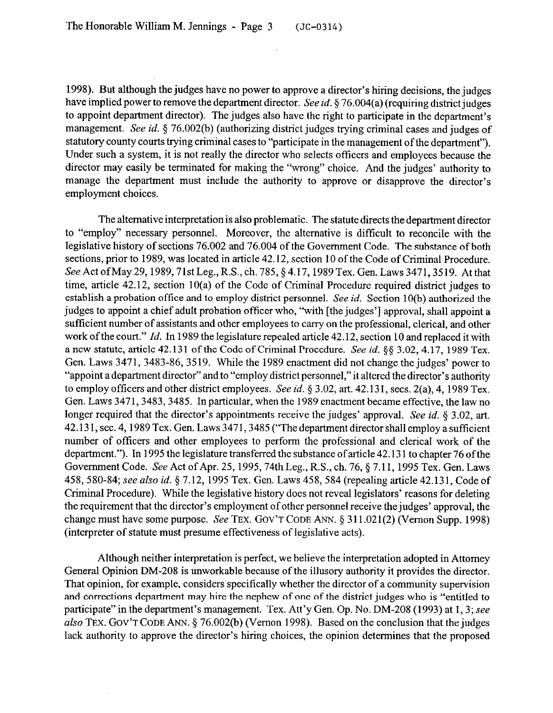1998). But although the judges have no power to approve a director's hiring decisions, the judges have implied power to remove the department director. See *id.* 5 76.004(a) (requiring district judges to appoint department director). The judges also have the right to participate in the department's management, See *id.* 3 76.002(b) (authorizing district judges trying criminal cases and judges of statutory county courts trying criminal cases to "participate in the management of the department"). Under such a system, it is not really the director who selects officers and employees because the director may easily be terminated for making the "wrong" choice. And the judges' authority to manage the department must include the authority to approve or disapprove the director's employment choices.

The alternative interpretation is also problematic. The statute directs the department director to "employ" necessary personnel. Moreover, the alternative is difficult to reconcile with the legislative history of sections 76.002 and 76.004 of the Government Code. The substance of both sections, prior to 1989, was located in article 42.12, section 10 of the Code of Criminal Procedure. See Act of May 29, 1989, 71st Leg., R.S., ch. 785, § 4.17, 1989 Tex. Gen. Laws 3471, 3519. At that time, article 42.12, section 10(a) of the Code of Criminal Procedure required district judges to establish a probation office and to employ district personnel. See *id.* Section 10(b) authorized the judges to appoint a chief adult probation officer who, "with [the judges'] approval, shall appoint a sufficient number of assistants and other employees to carry on the professional, clerical, and other work of the court." *Id.* In 1989 the legislature repealed article 42.12, section 10 and replaced it with a new statute, article 42.131 of the Code of Criminal Procedure. See *id. \$§ 3.02,4.17,* 1989 Tex. Gen. Laws 3471, 3483-86,3519. While the 1989 enactment did not change the judges' power to "appoint a department director" and to "employ district personnel," it altered the director's authority to employ officers and other district employees. See id. § 3.02, art. 42.131, secs. 2(a), 4, 1989 Tex. Gen. Laws 3471, 3483, 3485. In particular, when the 1989 enactment became effective, the law no longer required that the director's appointments receive the judges' approval. See *id.* § 3.02, art. 42.13 1, sec. 4,1989 Tex. Gen. Laws 3471,3485 ("The department director shall employ a sufficient number of officers and other employees to perform the professional and clerical work of the department."). In 1995 the legislature transferred the substance of article 42.13 1 to chapter 76 ofthe Government Code. See Act of Apr. 25,1995,74th Leg., R.S., ch. 76,§ 7.11, 1995 Tex. Gen. Laws 458,580-84; see also *id.* § 7.12, 1995 Tex. Gen. Laws 458,584 (repealing article 42.131, Code of Criminal Procedure). While the legislative history does not reveal legislators' reasons for deleting the requirement that the director's employment of other personnel receive the judges' approval, the change must have some purpose. See TEX. GOV'T CODE ANN. § 311.021(2) (Vernon Supp. 1998) (interpreter of statute must presume effectiveness of legislative acts).

Although neither interpretation is perfect, we believe the interpretation adopted in Attorney General Opinion DM-208 is unworkable because of the illusory authority it provides the director. That opinion, for example, considers specifically whether the director of a community supervision and corrections department may hire the nephew of one of the district judges who is "entitled to participate" in the department's management. Tex. Att'y Gen. Op. No. DM-208 (1993) at 1, 3; see also TEX. GOV'T CODE ANN. § 76.002(b) (Vernon 1998). Based on the conclusion that the judges lack authority to approve the director's hiring choices, the opinion determines that the proposed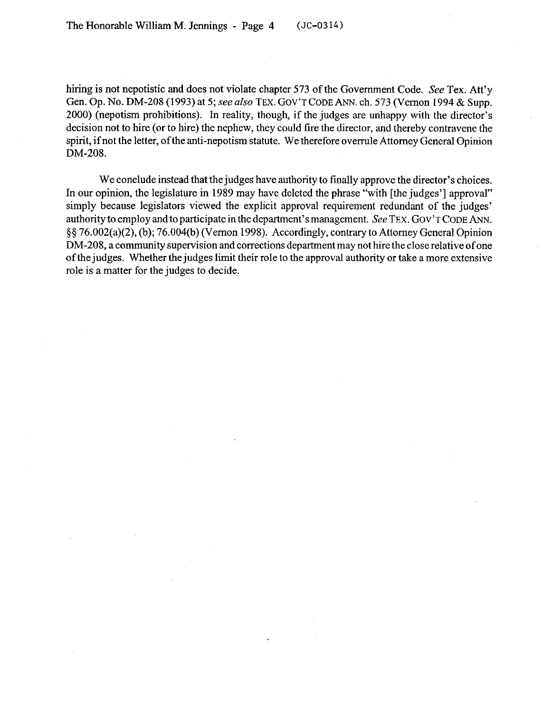hiring is not nepotistic and does not violate chapter 573 of the Government Code. See Tex. Att'y Gen. Op. No. DM-208 (1993) at 5; see also **TEX.** GOV'T **CODE** ANN. ch. 573 (Vernon 1994 & Supp. 2000) (nepotism prohibitions). In reality, though, if the judges are unhappy with the director's decision not to hire (or to hire) the nephew, they could tire the director, and thereby contravene the spirit, if not the letter, of the anti-nepotism statute. We therefore overrule Attorney General Opinion DM-208.

We conclude instead that the judges have authority to finally approve the director's choices. In our opinion, the legislature in 1989 may have deleted the phrase "with [the judges'] approval" simply because legislators viewed the explicit approval requirement redundant of the judges' authority to employ and to participate in the department's management. See **TEX. GOV'T CODE ANN. \$5 76,002(a)(2),(b); 76.004(b) (V emon** 1998). Accordingly, contrary to Attorney General Opinion DM-208, a community supervision and corrections department may not hire the close relative ofone of the judges. Whether the judges limit their role to the approval authority or take a more extensive role is a matter for the judges to decide.